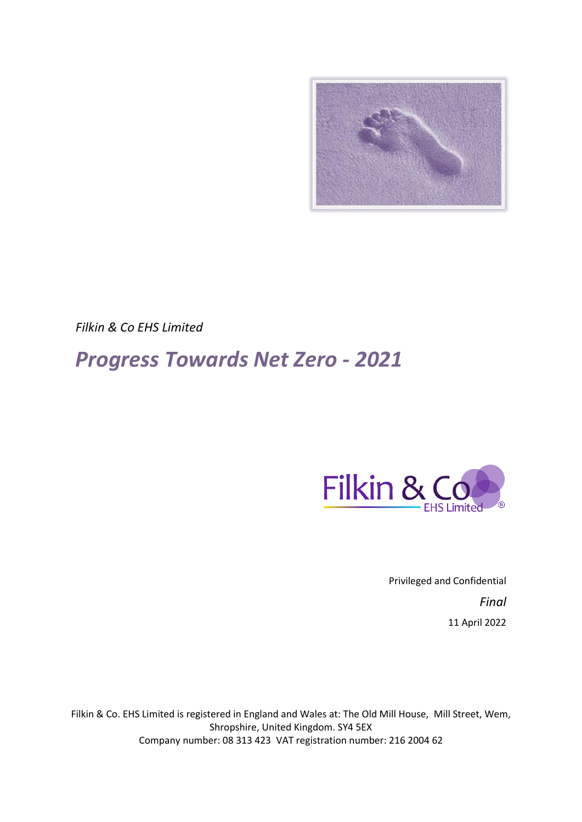

*Filkin & Co EHS Limited*

# *Progress Towards Net Zero - 2021*



Privileged and Confidential *Final* 11 April 2022

Filkin & Co. EHS Limited is registered in England and Wales at: The Old Mill House, Mill Street, Wem, Shropshire, United Kingdom. SY4 5EX Company number: 08 313 423 VAT registration number: 216 2004 62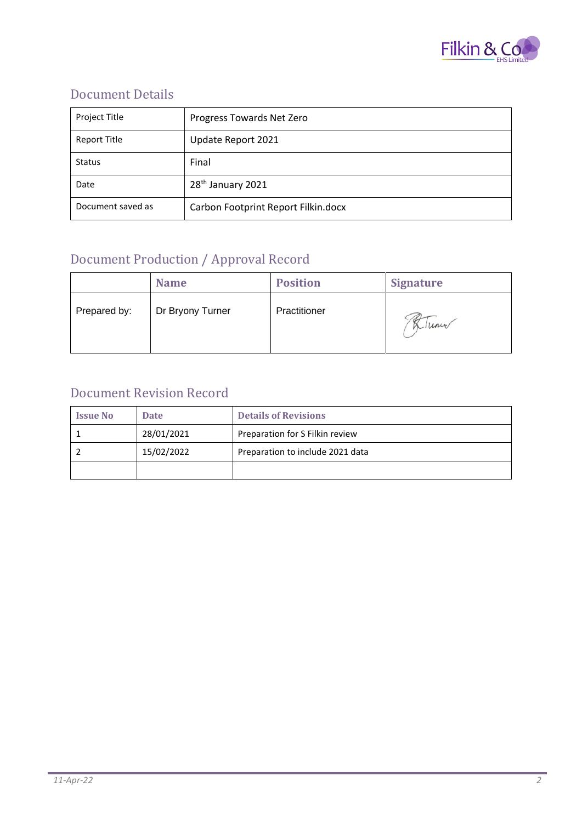

### Document Details

| Project Title       | Progress Towards Net Zero           |
|---------------------|-------------------------------------|
| <b>Report Title</b> | Update Report 2021                  |
| <b>Status</b>       | Final                               |
| Date                | 28 <sup>th</sup> January 2021       |
| Document saved as   | Carbon Footprint Report Filkin.docx |

### Document Production / Approval Record

|              | <b>Name</b>      | <b>Position</b> | <b>Signature</b> |
|--------------|------------------|-----------------|------------------|
| Prepared by: | Dr Bryony Turner | Practitioner    | Winner           |

#### Document Revision Record

| <b>Issue No</b> | <b>Date</b> | <b>Details of Revisions</b>      |
|-----------------|-------------|----------------------------------|
|                 | 28/01/2021  | Preparation for S Filkin review  |
|                 | 15/02/2022  | Preparation to include 2021 data |
|                 |             |                                  |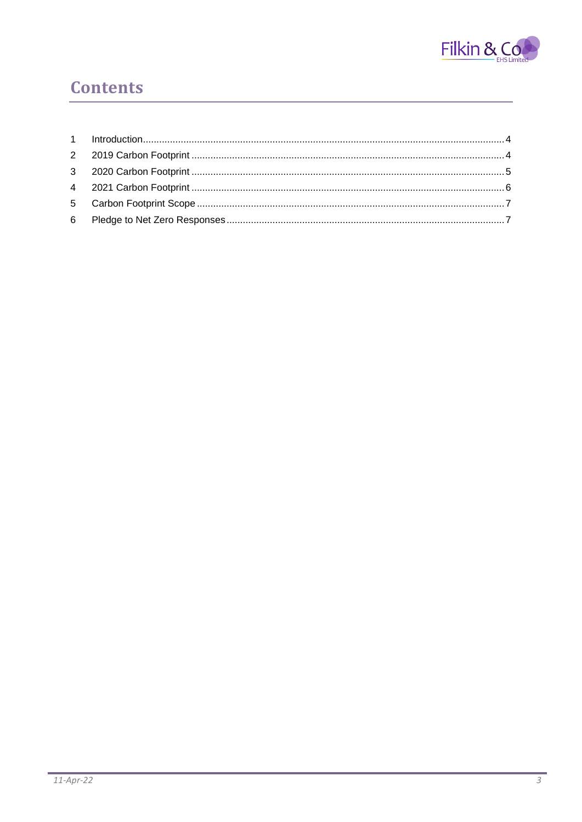

## **Contents**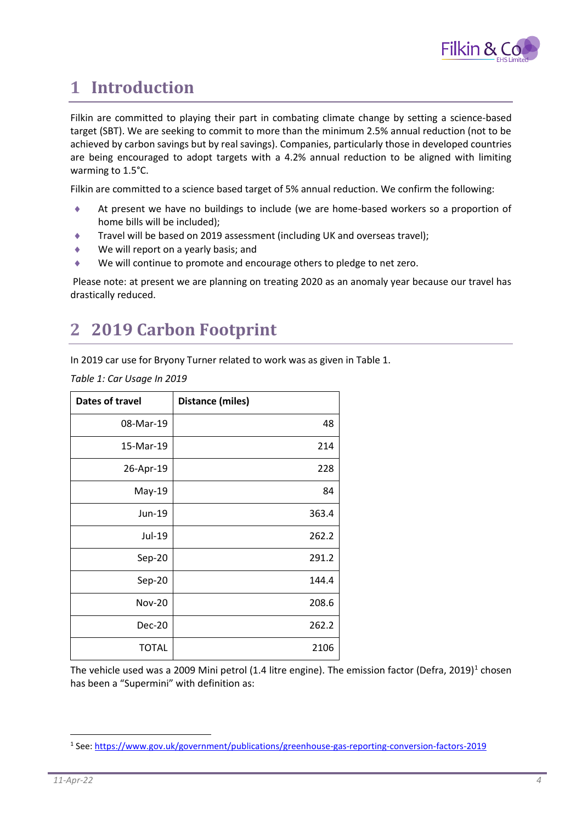

### <span id="page-3-0"></span>**1 Introduction**

Filkin are committed to playing their part in combating climate change by setting a science-based target (SBT). We are seeking to commit to more than the minimum 2.5% annual reduction (not to be achieved by carbon savings but by real savings). Companies, particularly those in developed countries are being encouraged to adopt targets with a 4.2% annual reduction to be aligned with limiting warming to 1.5°C.

Filkin are committed to a science based target of 5% annual reduction. We confirm the following:

- At present we have no buildings to include (we are home-based workers so a proportion of home bills will be included);
- Travel will be based on 2019 assessment (including UK and overseas travel);
- We will report on a yearly basis; and
- We will continue to promote and encourage others to pledge to net zero.

Please note: at present we are planning on treating 2020 as an anomaly year because our travel has drastically reduced.

### <span id="page-3-1"></span>**2 2019 Carbon Footprint**

In 2019 car use for Bryony Turner related to work was as given in Table 1.

*Table 1: Car Usage In 2019*

| <b>Dates of travel</b> | Distance (miles) |
|------------------------|------------------|
| 08-Mar-19              | 48               |
| 15-Mar-19              | 214              |
| 26-Apr-19              | 228              |
| $May-19$               | 84               |
| Jun-19                 | 363.4            |
| Jul-19                 | 262.2            |
| Sep-20                 | 291.2            |
| Sep-20                 | 144.4            |
| <b>Nov-20</b>          | 208.6            |
| Dec-20                 | 262.2            |
| <b>TOTAL</b>           | 2106             |

The vehicle used was a 2009 Mini petrol (1.4 litre engine). The emission factor (Defra, 2019)<sup>1</sup> chosen has been a "Supermini" with definition as:

<sup>&</sup>lt;sup>1</sup> See:<https://www.gov.uk/government/publications/greenhouse-gas-reporting-conversion-factors-2019>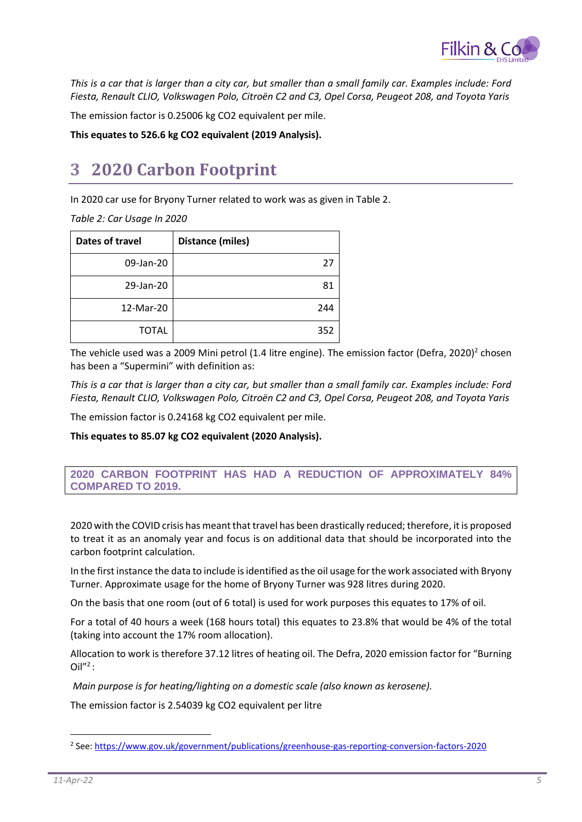

*This is a car that is larger than a city car, but smaller than a small family car. Examples include: Ford Fiesta, Renault CLIO, Volkswagen Polo, Citroën C2 and C3, Opel Corsa, Peugeot 208, and Toyota Yaris*

The emission factor is 0.25006 kg CO2 equivalent per mile.

**This equates to 526.6 kg CO2 equivalent (2019 Analysis).**

### <span id="page-4-0"></span>**3 2020 Carbon Footprint**

In 2020 car use for Bryony Turner related to work was as given in Table 2.

*Table 2: Car Usage In 2020*

| <b>Dates of travel</b> | <b>Distance (miles)</b> |
|------------------------|-------------------------|
| 09-Jan-20              | 27                      |
| 29-Jan-20              | 81                      |
| 12-Mar-20              | 244                     |
| <b>TOTAL</b>           | 352                     |

The vehicle used was a 2009 Mini petrol (1.4 litre engine). The emission factor (Defra, 2020)<sup>2</sup> chosen has been a "Supermini" with definition as:

*This is a car that is larger than a city car, but smaller than a small family car. Examples include: Ford Fiesta, Renault CLIO, Volkswagen Polo, Citroën C2 and C3, Opel Corsa, Peugeot 208, and Toyota Yaris*

The emission factor is 0.24168 kg CO2 equivalent per mile.

**This equates to 85.07 kg CO2 equivalent (2020 Analysis).**

#### **2020 CARBON FOOTPRINT HAS HAD A REDUCTION OF APPROXIMATELY 84% COMPARED TO 2019.**

2020 with the COVID crisis has meant that travel has been drastically reduced; therefore, it is proposed to treat it as an anomaly year and focus is on additional data that should be incorporated into the carbon footprint calculation.

In the first instance the data to include is identified as the oil usage for the work associated with Bryony Turner. Approximate usage for the home of Bryony Turner was 928 litres during 2020.

On the basis that one room (out of 6 total) is used for work purposes this equates to 17% of oil.

For a total of 40 hours a week (168 hours total) this equates to 23.8% that would be 4% of the total (taking into account the 17% room allocation).

Allocation to work is therefore 37.12 litres of heating oil. The Defra, 2020 emission factor for "Burning  $Oi^{\prime\prime 2}$ :

*Main purpose is for heating/lighting on a domestic scale (also known as kerosene).*

The emission factor is 2.54039 kg CO2 equivalent per litre

<sup>&</sup>lt;sup>2</sup> See:<https://www.gov.uk/government/publications/greenhouse-gas-reporting-conversion-factors-2020>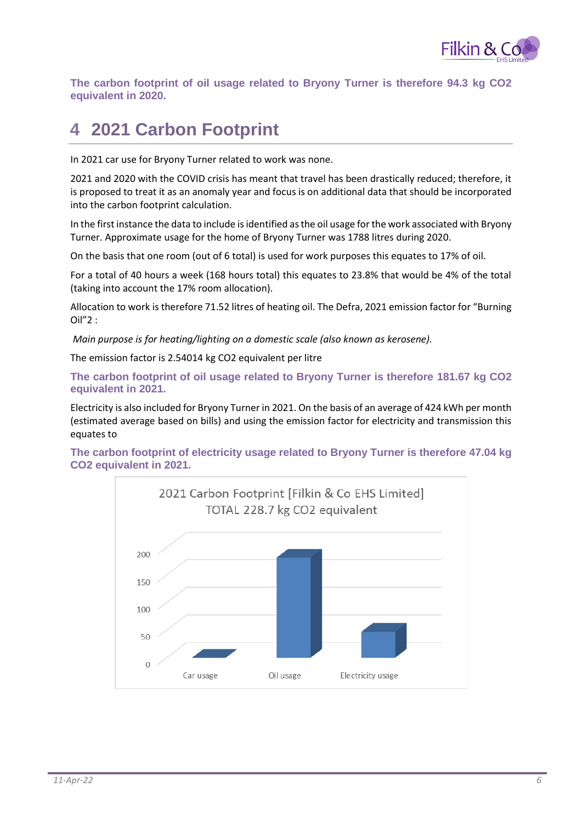

**The carbon footprint of oil usage related to Bryony Turner is therefore 94.3 kg CO2 equivalent in 2020.**

## <span id="page-5-0"></span>**4 2021 Carbon Footprint**

In 2021 car use for Bryony Turner related to work was none.

2021 and 2020 with the COVID crisis has meant that travel has been drastically reduced; therefore, it is proposed to treat it as an anomaly year and focus is on additional data that should be incorporated into the carbon footprint calculation.

In the first instance the data to include is identified as the oil usage for the work associated with Bryony Turner. Approximate usage for the home of Bryony Turner was 1788 litres during 2020.

On the basis that one room (out of 6 total) is used for work purposes this equates to 17% of oil.

For a total of 40 hours a week (168 hours total) this equates to 23.8% that would be 4% of the total (taking into account the 17% room allocation).

Allocation to work is therefore 71.52 litres of heating oil. The Defra, 2021 emission factor for "Burning Oil"2 :

*Main purpose is for heating/lighting on a domestic scale (also known as kerosene).*

The emission factor is 2.54014 kg CO2 equivalent per litre

**The carbon footprint of oil usage related to Bryony Turner is therefore 181.67 kg CO2 equivalent in 2021.**

Electricity is also included for Bryony Turner in 2021. On the basis of an average of 424 kWh per month (estimated average based on bills) and using the emission factor for electricity and transmission this equates to

**The carbon footprint of electricity usage related to Bryony Turner is therefore 47.04 kg CO2 equivalent in 2021.**

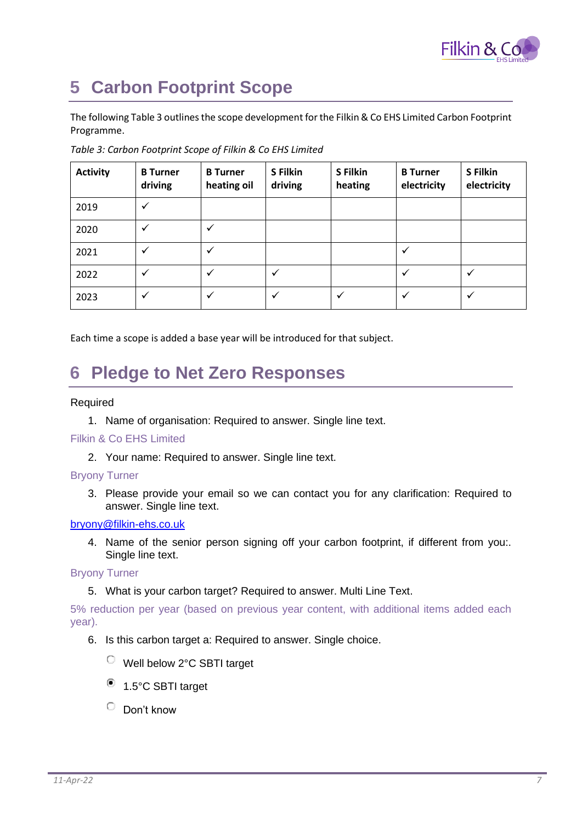

## <span id="page-6-0"></span>**5 Carbon Footprint Scope**

The following Table 3 outlines the scope development for the Filkin & Co EHS Limited Carbon Footprint Programme.

| <b>Activity</b> | <b>B</b> Turner<br>driving | <b>B</b> Turner<br>heating oil | S Filkin<br>driving | S Filkin<br>heating | <b>B</b> Turner<br>electricity | S Filkin<br>electricity |
|-----------------|----------------------------|--------------------------------|---------------------|---------------------|--------------------------------|-------------------------|
| 2019            | $\checkmark$               |                                |                     |                     |                                |                         |
| 2020            | $\checkmark$               | ✓                              |                     |                     |                                |                         |
| 2021            | $\checkmark$               | ✓                              |                     |                     |                                |                         |
| 2022            | ✓                          | ✓                              |                     |                     |                                | ✓                       |
| 2023            | $\checkmark$               | $\checkmark$                   | $\checkmark$        | $\checkmark$        |                                | $\checkmark$            |

*Table 3: Carbon Footprint Scope of Filkin & Co EHS Limited*

Each time a scope is added a base year will be introduced for that subject.

### <span id="page-6-1"></span>**6 Pledge to Net Zero Responses**

#### Required

1. Name of organisation: Required to answer. Single line text.

#### Filkin & Co EHS Limited

2. Your name: Required to answer. Single line text.

#### Bryony Turner

3. Please provide your email so we can contact you for any clarification: Required to answer. Single line text.

#### [bryony@filkin-ehs.co.uk](mailto:bryony@filkin-ehs.co.uk)

4. Name of the senior person signing off your carbon footprint, if different from you:. Single line text.

#### Bryony Turner

5. What is your carbon target? Required to answer. Multi Line Text.

5% reduction per year (based on previous year content, with additional items added each year).

- 6. Is this carbon target a: Required to answer. Single choice.
	- Well below 2°C SBTI target
	- <sup>1</sup>.5°C SBTI target
	- $\circ$ Don't know